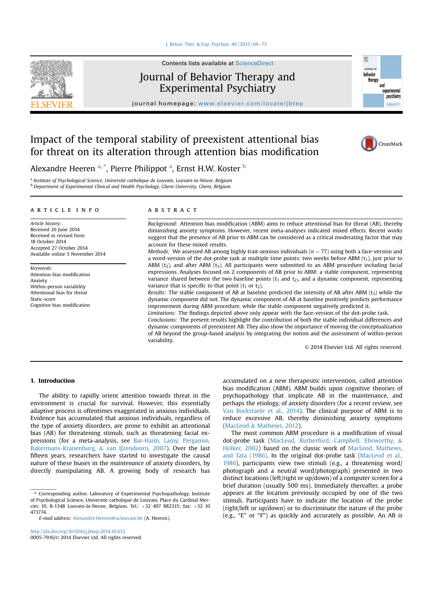J. Behav. Ther. & Exp. Psychiat.  $49$  (2015) 69-[75](http://dx.doi.org/10.1016/j.jbtep.2014.10.012)



Contents lists available at [ScienceDirect](www.sciencedirect.com/science/journal/00057916)

# Journal of Behavior Therapy and Experimental Psychiatry

journal homepage: [www.elsevier.com/locate/jbtep](http://www.elsevier.com/locate/jbtep)

# Impact of the temporal stability of preexistent attentional bias for threat on its alteration through attention bias modification



理

behavior therapy and experimental psychiatry

Alexandre Heeren <sup>a, \*</sup>, Pierre Philippot <sup>a</sup>, Ernst H.W. Koster <sup>b</sup>

<sup>a</sup> Institute of Psychological Science, Université catholique de Louvain, Louvain-la-Neuve, Belgium b Department of Experimental Clinical and Health Psychology, Ghent University, Ghent, Belgium

#### article info

Article history: Received 26 June 2014 Received in revised form 18 October 2014 Accepted 27 October 2014 Available online 5 November 2014

Keywords: Attention bias modification Anxiety Within-person variability Attentional bias for threat Static-score Cognitive bias modification

# **ABSTRACT**

Background: Attention bias modification (ABM) aims to reduce attentional bias for threat (AB), thereby diminishing anxiety symptoms. However, recent meta-analyses indicated mixed effects. Recent works suggest that the presence of AB prior to ABM can be considered as a critical moderating factor that may account for these mixed results.

*Methods:* We assessed AB among highly trait-anxious individuals ( $n = 77$ ) using both a face-version and a word-version of the dot-probe task at multiple time points: two weeks before ABM  $(t_1)$ , just prior to ABM  $(t_2)$ , and after ABM  $(t_3)$ . All participants were submitted to an ABM procedure including facial expressions. Analyses focused on 2 components of AB prior to ABM: a stable component, representing variance shared between the two baseline points  $(t_1$  and  $t_2$ ), and a dynamic component, representing variance that is specific to that point  $(t_1$  or  $t_2)$ .

Results: The stable component of AB at baseline predicted the intensity of AB after ABM  $(t<sub>3</sub>)$  while the dynamic component did not. The dynamic component of AB at baseline positively predicts performance improvement during ABM procedure, while the stable component negatively predicted it.

Limitations: The findings depicted above only appear with the face-version of the dot-probe task. Conclusions: The present results highlight the contribution of both the stable individual differences and dynamic components of preexistent AB. They also show the importance of moving the conceptualization of AB beyond the group-based analysis by integrating the notion and the assessment of within-person variability.

© 2014 Elsevier Ltd. All rights reserved.

# 1. Introduction

The ability to rapidly orient attention towards threat in the environment is crucial for survival. However, this essentially adaptive process is oftentimes exaggerated in anxious individuals. Evidence has accumulated that anxious individuals, regardless of the type of anxiety disorders, are prone to exhibit an attentional bias (AB) for threatening stimuli, such as threatening facial expressions (for a meta-analysis, see Bar-Haim, Lamy, Pergamin, Bakermans-Kranenburg, & van IJzendoorn, 2007). Over the last fifteen years, researchers have started to investigate the causal nature of these biases in the maintenance of anxiety disorders, by directly manipulating AB. A growing body of research has

<http://dx.doi.org/10.1016/j.jbtep.2014.10.012>

0005-7916/© 2014 Elsevier Ltd. All rights reserved.

accumulated on a new therapeutic intervention, called attention bias modification (ABM). ABM builds upon cognitive theories of psychopathology that implicate AB in the maintenance, and perhaps the etiology, of anxiety disorders (for a recent review, see Van Bockstaele et al., 2014). The clinical purpose of ABM is to reduce excessive AB, thereby diminishing anxiety symptoms (MacLeod & Mathews, 2012).

The most common ABM procedure is a modification of visual dot-probe task (MacLeod, Rutherford, Campbell, Ebsworthy, & Holker, 2002) based on the classic work of MacLeod, Mathews, and Tata (1986). In the original dot-probe task (MacLeod et al., 1986), participants view two stimuli (e.g., a threatening word/ photograph and a neutral word/photograph) presented in two distinct locations (left/right or up/down) of a computer screen for a brief duration (usually 500 ms). Immediately thereafter, a probe appears at the location previously occupied by one of the two stimuli. Participants have to indicate the location of the probe (right/left or up/down) or to discriminate the nature of the probe (e.g., "E" or "F") as quickly and accurately as possible. An AB is

<sup>\*</sup> Corresponding author. Laboratory of Experimental Psychopathology, Institute of Psychological Science, Universite catholique de Louvain, Place du Cardinal Mer- ! cier, 10, B-1348 Louvain-la-Neuve, Belgium. Tel.:  $+32$  497 882315; fax:  $+32$  10 473774.

E-mail address: [Alexandre.Heeren@uclouvain.be](mailto:Alexandre.Heeren@uclouvain.be) (A. Heeren).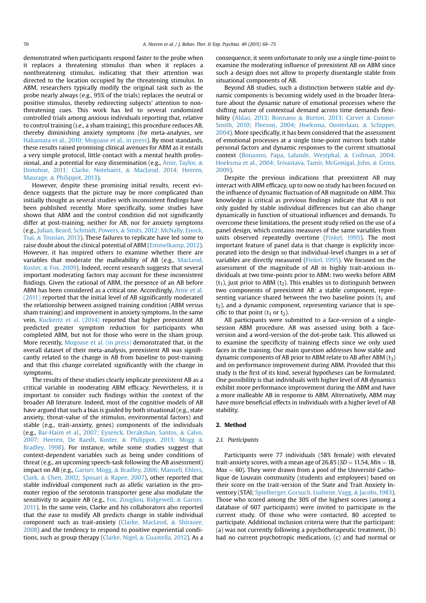demonstrated when participants respond faster to the probe when it replaces a threatening stimulus than when it replaces a nonthreatening stimulus, indicating that their attention was directed to the location occupied by the threatening stimulus. In ABM, researchers typically modify the original task such as the probe nearly always (e.g., 95% of the trials) replaces the neutral or positive stimulus, thereby redirecting subjects' attention to nonthreatening cues. This work has led to several randomized controlled trials among anxious individuals reporting that, relative to control training (i.e., a sham training), this procedure reduces AB, thereby diminishing anxiety symptoms (for meta-analyses, see Hakamata et al., 2010; Mogoase et al., in press). By most standards, these results raised promising clinical avenues for ABM as it entails a very simple protocol, little contact with a mental health professional, and a potential for easy dissemination (e.g., Amir, Taylor, & Donohue, 2011; Clarke, Notebaert, & MacLeod, 2014; Heeren, Maurage, & Philippot, 2013).

However, despite these promising initial results, recent evidence suggests that the picture may be more complicated than initially thought as several studies with inconsistent findings have been published recently. More specifically, some studies have shown that ABM and the control condition did not significantly differ at post-training, neither for AB, nor for anxiety symptoms (e.g., Julian, Beard, Schmidt, Powers, & Smits, 2012; McNally, Enock, Tsai, & Tousian, 2013). These failures to replicate have led some to raise doubt about the clinical potential of ABM (Emmelkamp, 2012). However, it has inspired others to examine whether there are variables that moderate the malleability of AB (e.g., MacLeod, Koster, & Fox, 2009). Indeed, recent research suggests that several important moderating factors may account for these inconsistent findings. Given the rational of ABM, the presence of an AB before ABM has been considered as a critical one. Accordingly, Amir et al. (2011) reported that the initial level of AB significantly moderated the relationship between assigned training condition (ABM versus sham training) and improvement in anxiety symptoms. In the same vein, Kuckertz et al. (2014) reported that higher preexistent AB predicted greater symptom reduction for participants who completed ABM, but not for those who were in the sham group. More recently, Mogoase et al. (in press) demonstrated that, in the overall dataset of their meta-analysis, preexistent AB was significantly related to the change in AB from baseline to post-training and that this change correlated significantly with the change in symptoms.

The results of these studies clearly implicate preexistent AB as a critical variable in moderating ABM efficacy. Nevertheless, it is important to consider such findings within the context of the broader AB literature. Indeed, most of the cognitive models of AB have argued that such a bias is guided by both situational (e.g., state anxiety, threat-value of the stimulus, environmental factors) and stable (e.g., trait-anxiety, genes) components of the individuals (e.g., Bar-Haim et al., 2007; Eysenck, Derakshan, Santos, & Calvo, 2007; Heeren, De Raedt, Koster, & Philippot, 2013; Mogg & Bradley, 1998). For instance, while some studies suggest that context-dependent variables such as being under conditions of threat (e.g., an upcoming speech-task following the AB assessment) impact on AB (e.g., Garner, Mogg, & Bradley, 2006; Mansell, Ehlers, Clark, & Chen, 2002; Sposari & Rapee, 2007), other reported that stable individual component such as allelic variation in the promoter region of the serotonin transporter gene also modulate the sensitivity to acquire AB (e.g., Fox, Zougkou, Ridgewell, & Garner, 2011). In the same vein, Clarke and his collaborators also reported that the ease to modify AB predicts change in stable individual component such as trait-anxiety (Clarke, MacLeod, & Shirazee, 2008) and the tendency to respond to positive experiential conditions, such as group therapy (Clarke, Nigel, & Guastella, 2012). As a consequence, it seem unfortunate to only use a single time-point to examine the moderating influence of preexistent AB on ABM since such a design does not allow to properly disentangle stable from situational components of AB.

Beyond AB studies, such a distinction between stable and dynamic components is becoming widely used in the broader literature about the dynamic nature of emotional processes where the shifting nature of contextual demand across time demands flexibility (Aldao, 2013; Bonnano & Burton, 2013; Carver & Connor-Smith, 2010; Fleeson, 2004; Hoeksma, Oosterlaan, & Schipper, 2004). More specifically, it has been considered that the assessment of emotional processes at a single time-point mirrors both stable personal factors and dynamic responses to the current situational context (Bonanno, Papa, Lalande, Westphal, & Coifman, 2004; Hoeksma et al., 2004; Srivastava, Tamir, McGonigal, John, & Gross, 2009).

Despite the previous indications that preexistent AB may interact with ABM efficacy, up to now no study has been focused on the influence of dynamic fluctuation of AB magnitude on ABM. This knowledge is critical as previous findings indicate that AB is not only guided by stable individual differences but can also change dynamically in function of situational influences and demands. To overcome these limitations, the present study relied on the use of a panel design, which contains measures of the same variables from units observed repeatedly overtime (Finkel, 1995). The most important feature of panel data is that change is explicitly incorporated into the design so that individual-level changes in a set of variables are directly measured (Finkel, 1995). We focused on the assessment of the magnitude of AB in highly trait-anxious individuals at two time-points prior to ABM: two weeks before ABM  $(t_1)$ , just prior to ABM  $(t_2)$ . This enables us to distinguish between two components of preexistent AB: a stable component, representing variance shared between the two baseline points  $(t_1)$  and  $t<sub>2</sub>$ ), and a dynamic component, representing variance that is specific to that point  $(t_1$  or  $t_2$ ).

All participants were submitted to a face-version of a singlesession ABM procedure. AB was assessed using both a faceversion and a word-version of the dot-probe task. This allowed us to examine the specificity of training effects since we only used faces in the training. Our main question addresses how stable and dynamic components of AB prior to ABM relate to AB after ABM  $(t_3)$ and on performance improvement during ABM. Provided that this study is the first of its kind, several hypotheses can be formulated. One possibility is that individuals with higher level of AB dynamics exhibit more performance improvement during the ABM and have a more malleable AB in response to ABM. Alternatively, ABM may have more beneficial effects in individuals with a higher level of AB stability.

# 2. Method

## 2.1. Participants

Participants were 77 individuals (58% female) with elevated trait-anxiety scores, with a mean age of 26.85 ( $SD = 11.54$ ,  $Min = 18$ ,  $Max = 60$ ). They were drawn from a pool of the Université Catholique de Louvain community (students and employees) based on their score on the trait-version of the State and Trait Anxiety Inventory (STAI; Spielberger, Gorsuch, Lushene, Vagg, & Jacobs, 1983). Those who scored among the 30% of the highest scores (among a database of 607 participants) were invited to participate in the current study. Of those who were contacted, 80 accepted to participate. Additional inclusion criteria were that the participant: (a) was not currently following a psychotherapeutic treatment, (b) had no current psychotropic medications, (c) and had normal or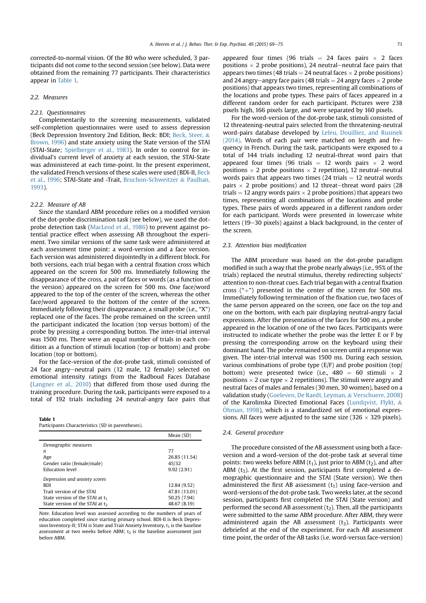corrected-to-normal vision. Of the 80 who were scheduled, 3 participants did not come to the second session (see below). Data were obtained from the remaining 77 participants. Their characteristics appear in Table 1.

### 2.2. Measures

# 2.2.1. Questionnaires

Complementarily to the screening measurements, validated self-completion questionnaires were used to assess depression (Beck Depression Inventory 2nd Edition, Beck: BDI; Beck, Steer, & Brown, 1996) and state anxiety using the State version of the STAI (STAI-State; Spielberger et al., 1983). In order to control for individual's current level of anxiety at each session, the STAI-State was administered at each time-point. In the present experiment, the validated French versions of these scales were used (BDI-II, Beck et al., 1996; STAI-State and -Trait, Bruchon-Schweitzer & Paulhan, 1993).

#### 2.2.2. Measure of AB

Since the standard ABM procedure relies on a modified version of the dot-probe discrimination task (see below), we used the dotprobe detection task (MacLeod et al., 1986) to prevent against potential practice effect when assessing AB throughout the experiment. Two similar versions of the same task were administered at each assessment time point: a word-version and a face version. Each version was administered disjointedly in a different block. For both versions, each trial began with a central fixation cross which appeared on the screen for 500 ms. Immediately following the disappearance of the cross, a pair of faces or words (as a function of the version) appeared on the screen for 500 ms. One face/word appeared to the top of the center of the screen, whereas the other face/word appeared to the bottom of the center of the screen. Immediately following their disappearance, a small probe (i.e., "X") replaced one of the faces. The probe remained on the screen until the participant indicated the location (top versus bottom) of the probe by pressing a corresponding button. The inter-trial interval was 1500 ms. There were an equal number of trials in each condition as a function of stimuli location (top or bottom) and probe location (top or bottom).

For the face-version of the dot-probe task, stimuli consisted of 24 face angry-neutral pairs (12 male, 12 female) selected on emotional intensity ratings from the Radboud Faces Database (Langner et al., 2010) that differed from those used during the training procedure. During the task, participants were exposed to a total of 192 trials including 24 neutral-angry face pairs that

#### Table 1

Participants Characteristics (SD in parentheses).

|                                             | Mean (SD)     |
|---------------------------------------------|---------------|
| Demographic measures                        |               |
| n                                           | 77            |
| Age                                         | 26.85 (11.54) |
| Gender ratio (female/male)                  | 45/32         |
| <b>Education level</b>                      | 9.92(2.91)    |
| Depression and anxiety scores               |               |
| <b>BDI</b>                                  | 12.84 (9.52)  |
| Trait version of the STAI                   | 47.81 (13.01) |
| State version of the STAI at $t_1$          | 50.25 (7.94)  |
| State version of the STAI at t <sub>2</sub> | 48.67 (8.19)  |

Note. Education level was assessed according to the numbers of years of education completed since starting primary school. BDI-II is Beck Depression Inventory-II; STAI is State and Trait Anxiety Inventory,  $t_1$  is the baseline assessment at two weeks before ABM;  $t_2$  is the baseline assessment just before ABM.

appeared four times (96 trials  $= 24$  faces pairs  $\times$  2 faces positions  $\times$  2 probe positions), 24 neutral–neutral face pairs that appears two times (48 trials  $=$  24 neutral faces  $\times$  2 probe positions) and 24 angry-angry face pairs (48 trials  $=$  24 angry faces  $\times$  2 probe positions) that appears two times, representing all combinations of the locations and probe types. These pairs of faces appeared in a different random order for each participant. Pictures were 238 pixels high, 166 pixels large, and were separated by 160 pixels.

For the word-version of the dot-probe task, stimuli consisted of 12 threatening-neutral pairs selected from the threatening-neutral word-pairs database developed by Leleu, Douilliez, and Rusinek (2014). Words of each pair were matched on length and frequency in French. During the task, participants were exposed to a total of 144 trials including 12 neutral-threat word pairs that appeared four times (96 trials  $= 12$  words pairs  $\times$  2 word positions  $\times$  2 probe positions  $\times$  2 repetition), 12 neutral-neutral words pairs that appears two times  $(24 \text{ trials} = 12 \text{ neutral words})$ pairs  $\times$  2 probe positions) and 12 threat-threat word pairs (28 trials  $= 12$  angry words pairs  $\times$  2 probe positions) that appears two times, representing all combinations of the locations and probe types. These pairs of words appeared in a different random order for each participant. Words were presented in lowercase white letters (19-30 pixels) against a black background, in the center of the screen.

#### 2.3. Attention bias modification

The ABM procedure was based on the dot-probe paradigm modified in such a way that the probe nearly always (i.e., 95% of the trials) replaced the neutral stimulus, thereby redirecting subjects' attention to non-threat cues. Each trial began with a central fixation cross  $("+")$  presented in the center of the screen for 500 ms. Immediately following termination of the fixation cue, two faces of the same person appeared on the screen, one face on the top and one on the bottom, with each pair displaying neutral-angry facial expressions. After the presentation of the faces for 500 ms, a probe appeared in the location of one of the two faces. Participants were instructed to indicate whether the probe was the letter E or F by pressing the corresponding arrow on the keyboard using their dominant hand. The probe remained on screen until a response was given. The inter-trial interval was 1500 ms. During each session, various combinations of probe type (E/F) and probe position (top/ bottom) were presented twice (i.e.,  $480 = 60$  stimuli  $\times 2$ positions  $\times$  2 cue type  $\times$  2 repetitions). The stimuli were angry and neutral faces of males and females (30 men, 30 women), based on a validation study (Goeleven, De Raedt, Leyman, & Verschuere, 2008) of the Karolinska Directed Emotional Faces (Lundqvist, Flykt, & Öhman, 1998), which is a standardized set of emotional expressions. All faces were adjusted to the same size (326  $\times$  329 pixels).

### 2.4. General procedure

The procedure consisted of the AB assessment using both a faceversion and a word-version of the dot-probe task at several time points: two weeks before ABM  $(t_1)$ , just prior to ABM  $(t_2)$ , and after ABM  $(t_3)$ . At the first session, participants first completed a demographic questionnaire and the STAI (State version). We then administered the first AB assessment  $(t_1)$  using face-version and word-versions of the dot-probe task. Two weeks later, at the second session, participants first completed the STAI (State version) and performed the second AB assessment  $(t_2)$ . Then, all the participants were submitted to the same ABM procedure. After ABM, they were administered again the AB assessment  $(t<sub>3</sub>)$ . Participants were debriefed at the end of the experiment. For each AB assessment time point, the order of the AB tasks (i.e. word-versus face-version)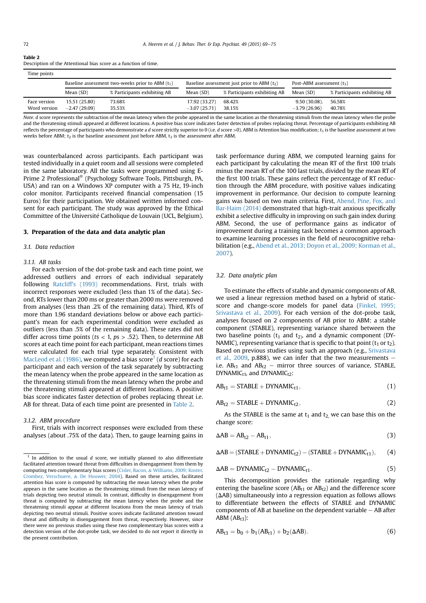| Table |  |
|-------|--|
|-------|--|

Description of the Attentional bias score as a function of time.

| Time points  |                                                    |                              |                                              |                              |                             |                              |  |  |  |
|--------------|----------------------------------------------------|------------------------------|----------------------------------------------|------------------------------|-----------------------------|------------------------------|--|--|--|
|              | Baseline assessment two-weeks prior to ABM $(t_1)$ |                              | Baseline assessment just prior to ABM $(t2)$ |                              | Post-ABM assessment $(t_3)$ |                              |  |  |  |
|              | Mean (SD)                                          | % Participants exhibiting AB | Mean (SD)                                    | % Participants exhibiting AB | Mean (SD)                   | % Participants exhibiting AB |  |  |  |
| Face version | 15.51 (25.80)                                      | 73.68%                       | 17.92 (33.27)                                | 68.42%                       | $9.50(30.08)$ .             | 56.58%                       |  |  |  |
| Word version | $-2.47(29.09)$                                     | 35.53%                       | $-3.07(25.71)$                               | 38.15%                       | $-3.79(26.96)$              | 40.78%                       |  |  |  |

Note, d score represents the subtraction of the mean latency when the probe appeared in the same location as the threatening stimuli from the mean latency when the probe and the threatening stimuli appeared at different locations. A positive bias score indicates faster detection of probes replacing threat. Percentage of participants exhibiting AB reflects the percentage of participants who demonstrate a d score strictly superior to 0 (i.e. d score >0). ABM is Attention bias modification;  $t_1$  is the baseline assessment at two weeks before ABM;  $t_2$  is the baseline assessment just before ABM,  $t_3$  is the assessment after ABM.

was counterbalanced across participants. Each participant was tested individually in a quiet room and all sessions were completed in the same laboratory. All the tasks were programmed using E-Prime 2 Professional® (Psychology Software Tools, Pittsburgh, PA, USA) and ran on a Windows XP computer with a 75 Hz, 19-inch color monitor. Participants received financial compensation (15 Euros) for their participation. We obtained written informed consent for each participant. The study was approved by the Ethical Committee of the Université Catholique de Louvain (UCL, Belgium).

#### 3. Preparation of the data and data analytic plan

## 3.1. Data reduction

#### 3.1.1. AB tasks

For each version of the dot-probe task and each time point, we addressed outliers and errors of each individual separately following Ratcliff's (1993) recommendations. First, trials with incorrect responses were excluded (less than 1% of the data). Second, RTs lower than 200 ms or greater than 2000 ms were removed from analyses (less than .2% of the remaining data). Third, RTs of more than 1.96 standard deviations below or above each participant's mean for each experimental condition were excluded as outliers (less than .5% of the remaining data). These rates did not differ across time points ( $ts < 1$ ,  $ps > .52$ ). Then, to determine AB scores at each time point for each participant, mean reactions times were calculated for each trial type separately. Consistent with MacLeod et al. (1986), we computed a bias score<sup>1</sup> (*d* score) for each participant and each version of the task separately by subtracting the mean latency when the probe appeared in the same location as the threatening stimuli from the mean latency when the probe and the threatening stimuli appeared at different locations. A positive bias score indicates faster detection of probes replacing threat i.e. AB for threat. Data of each time point are presented in Table 2.

#### 3.1.2. ABM procedure

First, trials with incorrect responses were excluded from these analyses (about .75% of the data). Then, to gauge learning gains in task performance during ABM, we computed learning gains for each participant by calculating the mean RT of the first 100 trials minus the mean RT of the 100 last trials, divided by the mean RT of the first 100 trials. These gains reflect the percentage of RT reduction through the ABM procedure, with positive values indicating improvement in performance. Our decision to compute learning gains was based on two main criteria. First, Abend, Pine, Fox, and Bar-Haim (2014) demonstrated that high-trait anxious specifically exhibit a selective difficulty in improving on such gain index during ABM. Second, the use of performance gains as indicator of improvement during a training task becomes a common approach to examine learning processes in the field of neurocognitive rehabilitation (e.g., Abend et al., 2013; Doyon et al., 2009; Korman et al., 2007).

## 3.2. Data analytic plan

To estimate the effects of stable and dynamic components of AB, we used a linear regression method based on a hybrid of staticscore and change-score models for panel data (Finkel, 1995; Srivastava et al., 2009). For each version of the dot-probe task, analyses focused on 2 components of AB prior to ABM: a stable component (STABLE), representing variance shared between the two baseline points ( $t_1$  and  $t_2$ ), and a dynamic component (DY-NAMIC), representing variance that is specific to that point  $(t_1$  or  $t_2$ ). Based on previous studies using such an approach (e.g., Srivastava et al., 2009, p.888), we can infer that the two measurements  $$ i.e.  $AB_{t1}$  and  $AB_{t2}$  – mirror three sources of variance, STABLE,  $DYNAMIC_{t1}$ , and  $DYNAMIC_{t2}$ :

$$
AB_{t1} = STABLE + DYNAMIC_{t1}, \qquad (1)
$$

$$
AB_{t2} = STABLE + DYNAMIC_{t2}, \qquad (2)
$$

As the STABLE is the same at  $t_1$  and  $t_2$ , we can base this on the change score:

$$
\Delta AB = AB_{t2} - AB_{t1},\tag{3}
$$

$$
\Delta AB = (STABLE + DYNAMIC_{t2}) - (STABLE + DYNAMIC_{t1}), \qquad (4)
$$

$$
\Delta AB = DYNAMIC_{t2} - DYNAMIC_{t1}.\tag{5}
$$

This decomposition provides the rationale regarding why entering the baseline score ( $AB_{t1}$  or  $AB_{t2}$ ) and the difference score  $(\Delta AB)$  simultaneously into a regression equation as follows allows to differentiate between the effects of STABLE and DYNAMIC components of AB at baseline on the dependent variable  $-$  AB after ABM  $(AB_{t3})$ :

$$
AB_{t3} = b_0 + b_1(AB_{t1}) + b_2(\Delta AB). \tag{6}
$$

 $\frac{1}{1}$  In addition to the usual d score, we initially planned to also differentiate facilitated attention toward threat from difficulties in disengagement from them by computing two complementary bias scores (Cisler, Bacon, & Williams, 2009; Koster, Crombez, Verschuere, & De Houwer, 2004). Based on these articles, facilitated attention bias score is computed by subtracting the mean latency when the probe appears in the same location as the threatening stimuli from the mean latency of trials depicting two neutral stimuli. In contrast, difficulty in disengagement from threat is computed by subtracting the mean latency when the probe and the threatening stimuli appear at different locations from the mean latency of trials depicting two neutral stimuli. Positive scores indicate facilitated attention toward threat and difficulty in disengagement from threat, respectively. However, since there were no previous studies using these two complementary bias scores with a detection version of the dot-probe task, we decided to do not report it directly in the present contribution.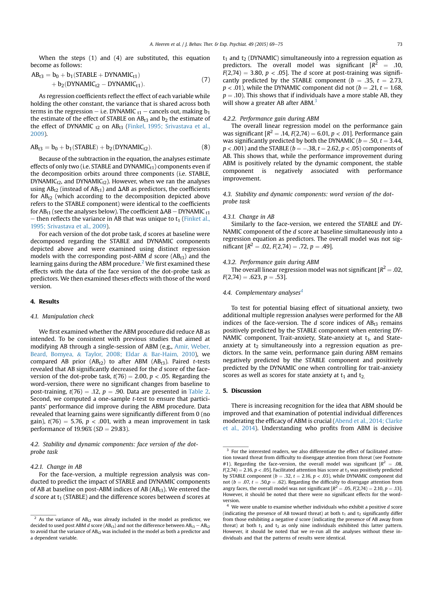When the steps (1) and (4) are substituted, this equation become as follows:

$$
AB_{t3} = b_0 + b_1(\text{STABLE} + \text{DYNAMIC}_{t1}) + b_2(\text{DYNAMIC}_{t2} - \text{DYNAMIC}_{t1}).
$$
\n(7)

As regression coefficients reflect the effect of each variable while holding the other constant, the variance that is shared across both terms in the regression – i.e. DYNAMIC  $_{t1}$  – cancels out, making  $b_1$ the estimate of the effect of STABLE on  $AB_{t3}$  and  $b_2$  the estimate of the effect of DYNAMIC  $t_2$  on AB $t_3$  (Finkel, 1995; Srivastava et al., 2009).

$$
AB_{t3} = b_0 + b_1(STABLE) + b_2(DYNAMIC_{t2}).
$$
\n(8)

Because of the subtraction in the equation, the analyses estimate effects of only two (i.e. STABLE and  $DYNAMIC_{t1}$ ) components even if the decomposition orbits around three components (i.e. STABLE,  $DYNAMIC<sub>t2</sub>$ , and  $DYNAMIC<sub>t2</sub>$ ). However, when we ran the analyses using  $AB_{t2}$  (instead of  $AB_{t1}$ ) and  $\Delta AB$  as predictors, the coefficients for  $AB_{t2}$  (which according to the decomposition depicted above refers to the STABLE component) were identical to the coefficients for AB<sub>t1</sub> (see the analyses below). The coefficient  $\Delta AB - DYNAMIC_{t1}$ - then reflects the variance in AB that was unique to  $t_1$  (Finket al., 1995; Srivastava et al., 2009).

For each version of the dot probe task, d scores at baseline were decomposed regarding the STABLE and DYNAMIC components depicted above and were examined using distinct regression models with the corresponding post-ABM  $d$  score (AB<sub>t3</sub>) and the learning gains during the ABM procedure.<sup>2</sup> We first examined these effects with the data of the face version of the dot-probe task as predictors. We then examined theses effects with those of the word version.

# 4. Results

#### 4.1. Manipulation check

We first examined whether the ABM procedure did reduce AB as intended. To be consistent with previous studies that aimed at modifying AB through a single-session of ABM (e.g., Amir, Weber, Beard, Bomyea, & Taylor, 2008; Eldar & Bar-Haim, 2010), we compared AB prior  $(AB_{t2})$  to after ABM  $(AB_{t3})$ . Paired t-tests revealed that AB significantly decreased for the d score of the faceversion of the dot-probe task,  $t(76) = 2.00$ ,  $p < .05$ . Regarding the word-version, there were no significant changes from baseline to post-training,  $t(76) = .12$ ,  $p = .90$ . Data are presented in Table 2. Second, we computed a one-sample t-test to ensure that participants' performance did improve during the ABM procedure. Data revealed that learning gains were significantly different from 0 (no gain),  $t(76) = 5.76$ ,  $p < .001$ , with a mean improvement in task performance of 19.96% ( $SD = 29.83$ ).

4.2. Stability and dynamic components: face version of the dotprobe task

#### 4.2.1. Change in AB

For the face-version, a multiple regression analysis was conducted to predict the impact of STABLE and DYNAMIC components of AB at baseline on post-ABM indices of AB  $(AB_{t3})$ . We entered the d score at  $t_1$  (STABLE) and the difference scores between d scores at  $t_1$  and  $t_2$  (DYNAMIC) simultaneously into a regression equation as predictors. The overall model was significant  $[R^2 = .10, ]$  $F(2,74) = 3.80$ ,  $p < .05$ ]. The d score at post-training was significantly predicted by the STABLE component ( $b = .35$ ,  $t = 2.73$ ,  $p < .01$ ), while the DYNAMIC component did not ( $b = .21$ ,  $t = 1.68$ ,  $p = .10$ ). This shows that if individuals have a more stable AB, they will show a greater AB after ABM.<sup>3</sup>

#### 4.2.2. Performance gain during ABM

The overall linear regression model on the performance gain was significant  $[R^2 = .14, F(2,74) = 6.01, p < .01]$ . Performance gain was significantly predicted by both the DYNAMIC ( $b = .50$ ,  $t = 3.44$ ,  $p < .001$ ) and the STABLE ( $b = -.38, t = 2.62, p < .05$ ) components of AB. This shows that, while the performance improvement during ABM is positively related by the dynamic component, the stable component is negatively associated with performance improvement.

4.3. Stability and dynamic components: word version of the dotprobe task

#### 4.3.1. Change in AB

Similarly to the face-version, we entered the STABLE and DY-NAMIC component of the d score at baseline simultaneously into a regression equation as predictors. The overall model was not significant  $[R^2 = .02, F(2,74) = .72, p = .49]$ .

# 4.3.2. Performance gain during ABM

The overall linear regression model was not significant  $[R^2 = .02,$  $F(2,74) = .623, p = .53$ .

# 4.4. Complementary analyses $4$

To test for potential biasing effect of situational anxiety, two additional multiple regression analyses were performed for the AB indices of the face-version. The  $d$  score indices of  $AB_{t3}$  remains positively predicted by the STABLE component when entering DY-NAMIC component, Trait-anxiety, State-anxiety at  $t_1$ , and Stateanxiety at  $t_2$  simultaneously into a regression equation as predictors. In the same vein, performance gain during ABM remains negatively predicted by the STABLE component and positively predicted by the DYNAMIC one when controlling for trait-anxiety scores as well as scores for state anxiety at  $t_1$  and  $t_2$ .

# 5. Discussion

There is increasing recognition for the idea that ABM should be improved and that examination of potential individual differences moderating the efficacy of ABM is crucial (Abend et al., 2014; Clarke et al., 2014). Understanding who profits from ABM is decisive

<sup>&</sup>lt;sup>2</sup> As the variance of  $AB_{t2}$  was already included in the model as predictor, we decided to used post ABM d score ( $AB_{13}$ ) and not the difference between  $AB_{13} - AB_{12}$ to avoid that the variance of  $AB_{t2}$  was included in the model as both a predictor and a dependent variable.

<sup>&</sup>lt;sup>3</sup> For the interested readers, we also differentiate the effect of facilitated attention toward threat from difficulty to disengage attention from threat (see Footnote #1). Regarding the face-version, the overall model was significant  $[R^2 = .08,$  $F(2,74) = 2.16, p < .05$ ]. Facilitated attention bias score at t<sub>3</sub> was positively predicted by STABLE component ( $b = .32$ ,  $t = 2.16$ ,  $p < .03$ ), while DYNAMIC component did not ( $b = .07$ ,  $t = .50$ , $p = .62$ ). Regarding the difficulty to disengage attention from angry faces, the overall model was not significant  $[R^2 = .05, F(2,74) = 2.10, p = .13]$ . However, it should be noted that there were no significant effects for the wordversion.

We were unable to examine whether individuals who exhibit a positive d score (indicating the presence of AB toward threat) at both  $t_1$  and  $t_2$  significantly differ from those exhibiting a negative d score (indicating the presence of AB away from threat) at both  $t_1$  and  $t_2$  as only nine individuals exhibited this latter pattern. However, it should be noted that we re-run all the analyses without these individuals and that the patterns of results were identical.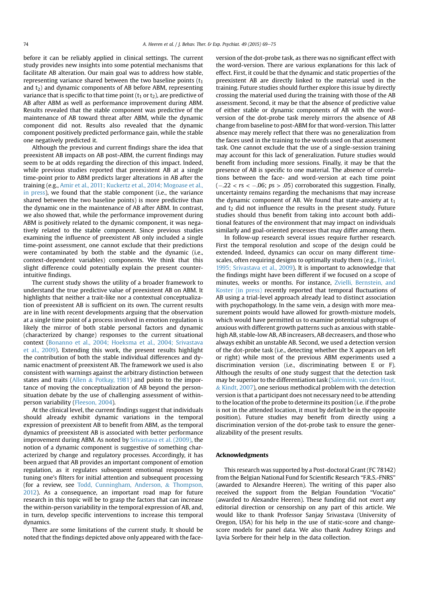before it can be reliably applied in clinical settings. The current study provides new insights into some potential mechanisms that facilitate AB alteration. Our main goal was to address how stable, representing variance shared between the two baseline points  $(t_1)$ and  $t_2$ ) and dynamic components of AB before ABM, representing variance that is specific to that time point  $(t_1$  or  $t_2$ ), are predictive of AB after ABM as well as performance improvement during ABM. Results revealed that the stable component was predictive of the maintenance of AB toward threat after ABM, while the dynamic component did not. Results also revealed that the dynamic component positively predicted performance gain, while the stable one negatively predicted it.

Although the previous and current findings share the idea that preexistent AB impacts on AB post-ABM, the current findings may seem to be at odds regarding the direction of this impact. Indeed, while previous studies reported that preexistent AB at a single time-point prior to ABM predicts larger alterations in AB after the training (e.g., Amir et al., 2011; Kuckertz et al., 2014; Mogoase et al., in press), we found that the stable component (i.e., the variance shared between the two baseline points) is more predictive than the dynamic one in the maintenance of AB after ABM. In contrast, we also showed that, while the performance improvement during ABM is positively related to the dynamic component, it was negatively related to the stable component. Since previous studies examining the influence of preexistent AB only included a single time-point assessment, one cannot exclude that their predictions were contaminated by both the stable and the dynamic (i.e., context-dependent variables) components. We think that this slight difference could potentially explain the present counterintuitive findings.

The current study shows the utility of a broader framework to understand the true predictive value of preexistent AB on ABM. It highlights that neither a trait-like nor a contextual conceptualization of preexistent AB is sufficient on its own. The current results are in line with recent developments arguing that the observation at a single time point of a process involved in emotion regulation is likely the mirror of both stable personal factors and dynamic (characterized by change) responses to the current situational context (Bonanno et al., 2004; Hoeksma et al., 2004; Srivastava et al., 2009). Extending this work, the present results highlight the contribution of both the stable individual differences and dynamic enactment of preexistent AB. The framework we used is also consistent with warnings against the arbitrary distinction between states and traits (Allen & Potkay, 1981) and points to the importance of moving the conceptualization of AB beyond the personsituation debate by the use of challenging assessment of withinperson variability (Fleeson, 2004).

At the clinical level, the current findings suggest that individuals should already exhibit dynamic variations in the temporal expression of preexistent AB to benefit from ABM, as the temporal dynamics of preexistent AB is associated with better performance improvement during ABM. As noted by Srivastava et al. (2009), the notion of a dynamic component is suggestive of something characterized by change and regulatory processes. Accordingly, it has been argued that AB provides an important component of emotion regulation, as it regulates subsequent emotional responses by tuning one's filters for initial attention and subsequent processing (for a review, see Todd, Cunningham, Anderson, & Thompson, 2012). As a consequence, an important road map for future research in this topic will be to grasp the factors that can increase the within-person variability in the temporal expression of AB, and, in turn, develop specific interventions to increase this temporal dynamics.

There are some limitations of the current study. It should be noted that the findings depicted above only appeared with the faceversion of the dot-probe task, as there was no significant effect with the word-version. There are various explanations for this lack of effect. First, it could be that the dynamic and static properties of the preexistent AB are directly linked to the material used in the training. Future studies should further explore this issue by directly crossing the material used during the training with those of the AB assessment. Second, it may be that the absence of predictive value of either stable or dynamic components of AB with the wordversion of the dot-probe task merely mirrors the absence of AB change from baseline to post-ABM for that word-version. This latter absence may merely reflect that there was no generalization from the faces used in the training to the words used on that assessment task. One cannot exclude that the use of a single-session training may account for this lack of generalization. Future studies would benefit from including more sessions. Finally, it may be that the presence of AB is specific to one material. The absence of correlations between the face- and word-version at each time point  $(-.22 < r s < -0.06; ps > 0.05)$  corroborated this suggestion. Finally, uncertainty remains regarding the mechanisms that may increase the dynamic component of AB. We found that state-anxiety at  $t_1$ and  $t<sub>2</sub>$  did not influence the results in the present study. Future studies should thus benefit from taking into account both additional features of the environment that may impact on individuals similarly and goal-oriented processes that may differ among them.

In follow-up research several issues require further research. First the temporal resolution and scope of the design could be extended. Indeed, dynamics can occur on many different timescales, often requiring designs to optimally study them (e.g., Finkel, 1995; Srivastava et al., 2009). It is important to acknowledge that the findings might have been different if we focused on a scope of minutes, weeks or months. For instance, Zvielli, Bernstein, and Koster (in press) recently reported that temporal fluctuations of AB using a trial-level approach already lead to distinct association with psychopathology. In the same vein, a design with more measurement points would have allowed for growth-mixture models, which would have permitted us to examine potential subgroups of anxious with different growth patterns such as anxious with stablehigh AB, stable-low AB, AB increasers, AB decreasers, and those who always exhibit an unstable AB. Second, we used a detection version of the dot-probe task (i.e., detecting whether the X appears on left or right) while most of the previous ABM experiments used a discrimination version (i.e., discriminating between E or F). Although the results of one study suggest that the detection task may be superior to the differentiation task (Salemink, van den Hout, & Kindt, 2007), one serious methodical problem with the detection version is that a participant does not necessary need to be attending to the location of the probe to determine its position (i.e. if the probe is not in the attended location, it must by default be in the opposite position). Future studies may benefit from directly using a discrimination version of the dot-probe task to ensure the generalizability of the present results.

## Acknowledgments

This research was supported by a Post-doctoral Grant (FC 78142) from the Belgian National Fund for Scientific Research "F.R.S.-FNRS" (awarded to Alexandre Heeren). The writing of this paper also received the support from the Belgian Foundation "Vocatio" (awarded to Alexandre Heeren). These funding did not exert any editorial direction or censorship on any part of this article. We would like to thank Professor Sanjay Srivastava (University of Oregon, USA) for his help in the use of static-score and changescore models for panel data. We also thank Audrey Krings and Lyvia Sorbere for their help in the data collection.